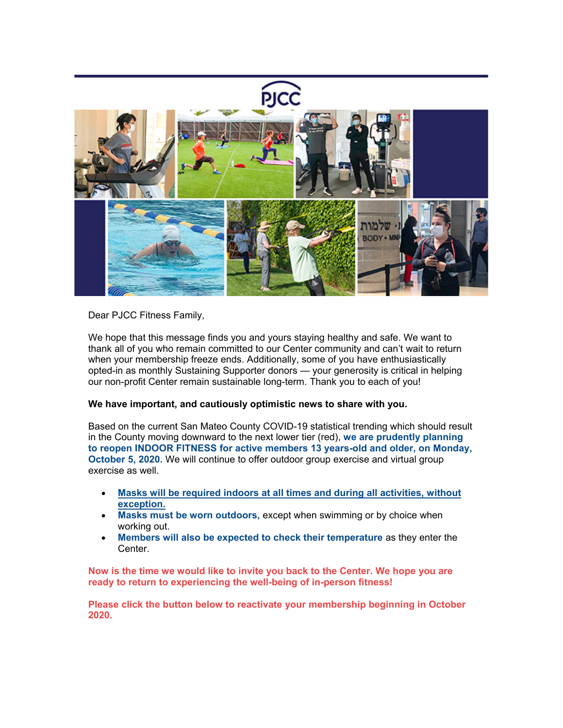

Dear PJCC Fitness Family,

We hope that this message finds you and yours staying healthy and safe. We want to thank all of you who remain committed to our Center community and can't wait to return when your membership freeze ends. Additionally, some of you have enthusiastically opted-in as monthly Sustaining Supporter donors — your generosity is critical in helping our non-profit Center remain sustainable long-term. Thank you to each of you!

# **We have important, and cautiously optimistic news to share with you.**

Based on the current San Mateo County COVID-19 statistical trending which should result in the County moving downward to the next lower tier (red), **we are prudently planning to reopen INDOOR FITNESS for active members 13 years-old and older, on Monday, October 5, 2020.** We will continue to offer outdoor group exercise and virtual group exercise as well.

- **Masks will be required indoors at all times and during all activities, without exception.**
- **Masks must be worn outdoors,** except when swimming or by choice when working out.
- **Members will also be expected to check their temperature** as they enter the Center.

**Now is the time we would like to invite you back to the Center. We hope you are ready to return to experiencing the well-being of in-person fitness!**

**Please click the button below to reactivate your membership beginning in October 2020.**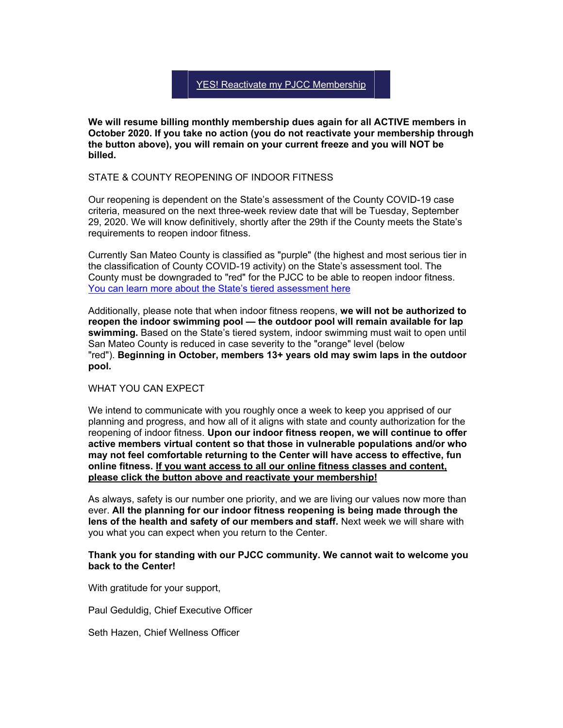# YES! Reactivate my PJCC [Membership](https://pjcc.acemlna.com/lt.php?notrack=1¬rack=1&s=bad97c655476f96a390a72c05a742011&i=330A690A169A2958)

**We will resume billing monthly membership dues again for all ACTIVE members in October 2020. If you take no action (you do not reactivate your membership through the button above), you will remain on your current freeze and you will NOT be billed.**

### STATE & COUNTY REOPENING OF INDOOR FITNESS

Our reopening is dependent on the State's assessment of the County COVID-19 case criteria, measured on the next three-week review date that will be Tuesday, September 29, 2020. We will know definitively, shortly after the 29th if the County meets the State's requirements to reopen indoor fitness.

Currently San Mateo County is classified as "purple" (the highest and most serious tier in the classification of County COVID-19 activity) on the State's assessment tool. The County must be downgraded to "red" for the PJCC to be able to reopen indoor fitness. [You can learn more about the State's tiered assessment here](https://covid19.ca.gov/safer-economy/)

Additionally, please note that when indoor fitness reopens, **we will not be authorized to reopen the indoor swimming pool — the outdoor pool will remain available for lap swimming.** Based on the State's tiered system, indoor swimming must wait to open until San Mateo County is reduced in case severity to the "orange" level (below "red"). **Beginning in October, members 13+ years old may swim laps in the outdoor pool.**

#### WHAT YOU CAN EXPECT

We intend to communicate with you roughly once a week to keep you apprised of our planning and progress, and how all of it aligns with state and county authorization for the reopening of indoor fitness. **Upon our indoor fitness reopen, we will continue to offer active members virtual content so that those in vulnerable populations and/or who may not feel comfortable returning to the Center will have access to effective, fun online fitness. If you want access to all our online fitness classes and content, please click the button above and reactivate your membership!**

As always, safety is our number one priority, and we are living our values now more than ever. **All the planning for our indoor fitness reopening is being made through the lens of the health and safety of our members and staff.** Next week we will share with you what you can expect when you return to the Center.

### **Thank you for standing with our PJCC community. We cannot wait to welcome you back to the Center!**

With gratitude for your support,

Paul Geduldig, Chief Executive Officer

Seth Hazen, Chief Wellness Officer